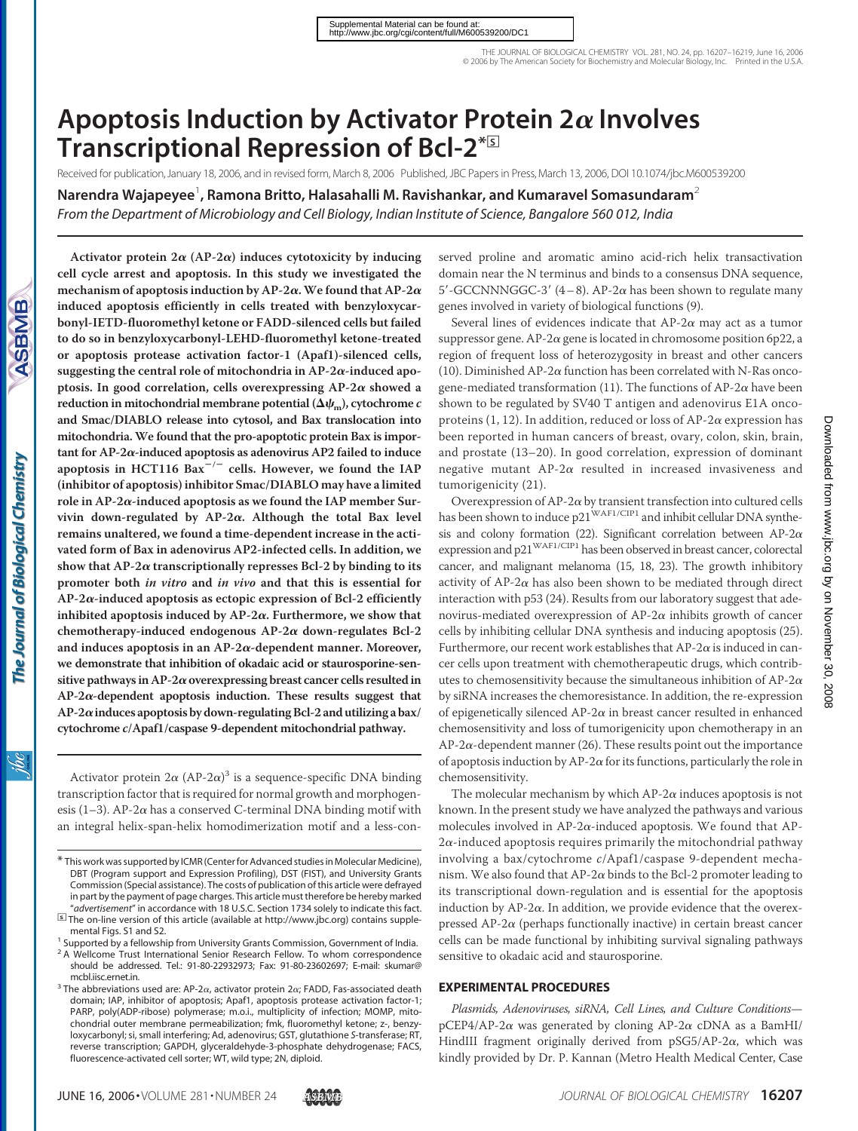# Apoptosis Induction by Activator Protein 2 $\alpha$  Involves **Transcriptional Repression of Bcl-2\***<sup>S</sup>

Received for publication, January 18, 2006, and in revised form, March 8, 2006 Published, JBC Papers in Press, March 13, 2006, DOI 10.1074/jbc.M600539200

 $\bm{\mathsf{N}}$ arendra Wajapeyee<sup>1</sup>, Ramona Britto, Halasahalli M. Ravishankar, and Kumaravel Somasundaram $^2$ 

*From the Department of Microbiology and Cell Biology, Indian Institute of Science, Bangalore 560 012, India*

<u>ж</u>

Activator protein  $2\alpha$  (AP-2 $\alpha$ ) induces cytotoxicity by inducing **cell cycle arrest and apoptosis. In this study we investigated the** mechanism of apoptosis induction by AP-2 $\alpha$ . We found that AP-2 $\alpha$ **induced apoptosis efficiently in cells treated with benzyloxycarbonyl-IETD-fluoromethyl ketone or FADD-silenced cells but failed to do so in benzyloxycarbonyl-LEHD-fluoromethyl ketone-treated or apoptosis protease activation factor-1 (Apaf1)-silenced cells,** suggesting the central role of mitochondria in  $AP-2\alpha$ -induced apoptosis. In good correlation, cells overexpressing  $AP-2\alpha$  showed a reduction in mitochondrial membrane potential ( $\Delta \psi_\text{m}$ ), cytochrome  $c$ **and Smac/DIABLO release into cytosol, and Bax translocation into mitochondria. We found that the pro-apoptotic protein Bax is important for AP-2-induced apoptosis as adenovirus AP2 failed to induce** apoptosis in HCT116 Bax<sup>-/-</sup> cells. However, we found the IAP **(inhibitor of apoptosis) inhibitor Smac/DIABLO may have a limited role in AP-2-induced apoptosis as we found the IAP member Survivin down-regulated by AP-2. Although the total Bax level remains unaltered, we found a time-dependent increase in the activated form of Bax in adenovirus AP2-infected cells. In addition, we** show that  $AP-2\alpha$  transcriptionally represses Bcl-2 by binding to its **promoter both** *in vitro* **and** *in vivo* **and that this is essential for AP-2-induced apoptosis as ectopic expression of Bcl-2 efficiently** inhibited apoptosis induced by  $AP-2\alpha$ . Furthermore, we show that chemotherapy-induced endogenous  $AP-2\alpha$  down-regulates Bcl-2 and induces apoptosis in an  $AP-2\alpha$ -dependent manner. Moreover, **we demonstrate that inhibition of okadaic acid or staurosporine-sensitive pathways in AP-2overexpressing breast cancer cells resulted in AP-2-dependent apoptosis induction. These results suggest that AP-2induces apoptosis by down-regulating Bcl-2 and utilizing a bax/ cytochrome** *c***/Apaf1/caspase 9-dependent mitochondrial pathway.**

Activator protein  $2\alpha$  (AP-2 $\alpha$ )<sup>3</sup> is a sequence-specific DNA binding transcription factor that is required for normal growth and morphogenesis (1-3). AP-2 $\alpha$  has a conserved C-terminal DNA binding motif with an integral helix-span-helix homodimerization motif and a less-conserved proline and aromatic amino acid-rich helix transactivation domain near the N terminus and binds to a consensus DNA sequence, 5'-GCCNNNGGC-3' (4-8). AP-2 $\alpha$  has been shown to regulate many genes involved in variety of biological functions (9).

Several lines of evidences indicate that  $AP-2\alpha$  may act as a tumor suppressor gene. AP-2 $\alpha$  gene is located in chromosome position 6p22, a region of frequent loss of heterozygosity in breast and other cancers (10). Diminished AP-2 $\alpha$  function has been correlated with N-Ras oncogene-mediated transformation (11). The functions of AP-2 $\alpha$  have been shown to be regulated by SV40 T antigen and adenovirus E1A oncoproteins (1, 12). In addition, reduced or loss of AP-2 $\alpha$  expression has been reported in human cancers of breast, ovary, colon, skin, brain, and prostate (13–20). In good correlation, expression of dominant negative mutant  $AP-2\alpha$  resulted in increased invasiveness and tumorigenicity (21).

Overexpression of  $AP-2\alpha$  by transient transfection into cultured cells has been shown to induce p21<sup>WAF1/CIP1</sup> and inhibit cellular DNA synthesis and colony formation (22). Significant correlation between AP-2 $\alpha$ expression and p21<sup>WAF1/CIP1</sup> has been observed in breast cancer, colorectal cancer, and malignant melanoma (15, 18, 23). The growth inhibitory activity of AP-2 $\alpha$  has also been shown to be mediated through direct interaction with p53 (24). Results from our laboratory suggest that adenovirus-mediated overexpression of  $AP-2\alpha$  inhibits growth of cancer cells by inhibiting cellular DNA synthesis and inducing apoptosis (25). Furthermore, our recent work establishes that  $AP-2\alpha$  is induced in cancer cells upon treatment with chemotherapeutic drugs, which contributes to chemosensitivity because the simultaneous inhibition of AP-2 $\alpha$ by siRNA increases the chemoresistance. In addition, the re-expression of epigenetically silenced AP-2 $\alpha$  in breast cancer resulted in enhanced chemosensitivity and loss of tumorigenicity upon chemotherapy in an  $AP-2\alpha$ -dependent manner (26). These results point out the importance of apoptosis induction by AP-2 $\alpha$  for its functions, particularly the role in chemosensitivity.

The molecular mechanism by which  $AP-2\alpha$  induces apoptosis is not known. In the present study we have analyzed the pathways and various molecules involved in AP-2 $\alpha$ -induced apoptosis. We found that AP- $2\alpha$ -induced apoptosis requires primarily the mitochondrial pathway involving a bax/cytochrome *c*/Apaf1/caspase 9-dependent mechanism. We also found that  $AP-2\alpha$  binds to the Bcl-2 promoter leading to its transcriptional down-regulation and is essential for the apoptosis induction by  $AP-2\alpha$ . In addition, we provide evidence that the overexpressed  $AP-2\alpha$  (perhaps functionally inactive) in certain breast cancer cells can be made functional by inhibiting survival signaling pathways sensitive to okadaic acid and staurosporine.

#### **EXPERIMENTAL PROCEDURES**

*Plasmids, Adenoviruses, siRNA, Cell Lines, and Culture Conditions*  $pCEP4/AP-2\alpha$  was generated by cloning AP-2 $\alpha$  cDNA as a BamHI/ HindIII fragment originally derived from  $pSG5/AP-2\alpha$ , which was kindly provided by Dr. P. Kannan (Metro Health Medical Center, Case

<sup>\*</sup> This work was supported by ICMR(Centerfor Advanced studies in Molecular Medicine), DBT (Program support and Expression Profiling), DST (FIST), and University Grants Commission (Special assistance). The costs of publication of this article were defrayed in part by the payment of page charges. This article must therefore be hereby marked<br>"advertisement" in accordance with 18 U.S.C. Section 1734 solely to indicate this fact.

*addrers The on-line version of this article (available at http://www.jbc.org) contains supple*mental Figs. S1 and S2.<br><sup>1</sup> Supported by a fellowship from University Grants Commission, Government of India.

<sup>&</sup>lt;sup>2</sup> A Wellcome Trust International Senior Research Fellow. To whom correspondence should be addressed. Tel.: 91-80-22932973; Fax: 91-80-23602697; E-mail: skumar@

mcbl.iisc.ernet.in.<br><sup>3</sup> The abbreviations used are: AP-2 $\alpha$ , activator protein 2 $\alpha$ ; FADD, Fas-associated death

domain; IAP, inhibitor of apoptosis; Apaf1, apoptosis protease activation factor-1; PARP, poly(ADP-ribose) polymerase; m.o.i., multiplicity of infection; MOMP, mitochondrial outer membrane permeabilization; fmk, fluoromethyl ketone; z-, benzyloxycarbonyl; si, small interfering; Ad, adenovirus; GST, glutathione *S*-transferase; RT, reverse transcription; GAPDH, glyceraldehyde-3-phosphate dehydrogenase; FACS, fluorescence-activated cell sorter; WT, wild type; 2N, diploid.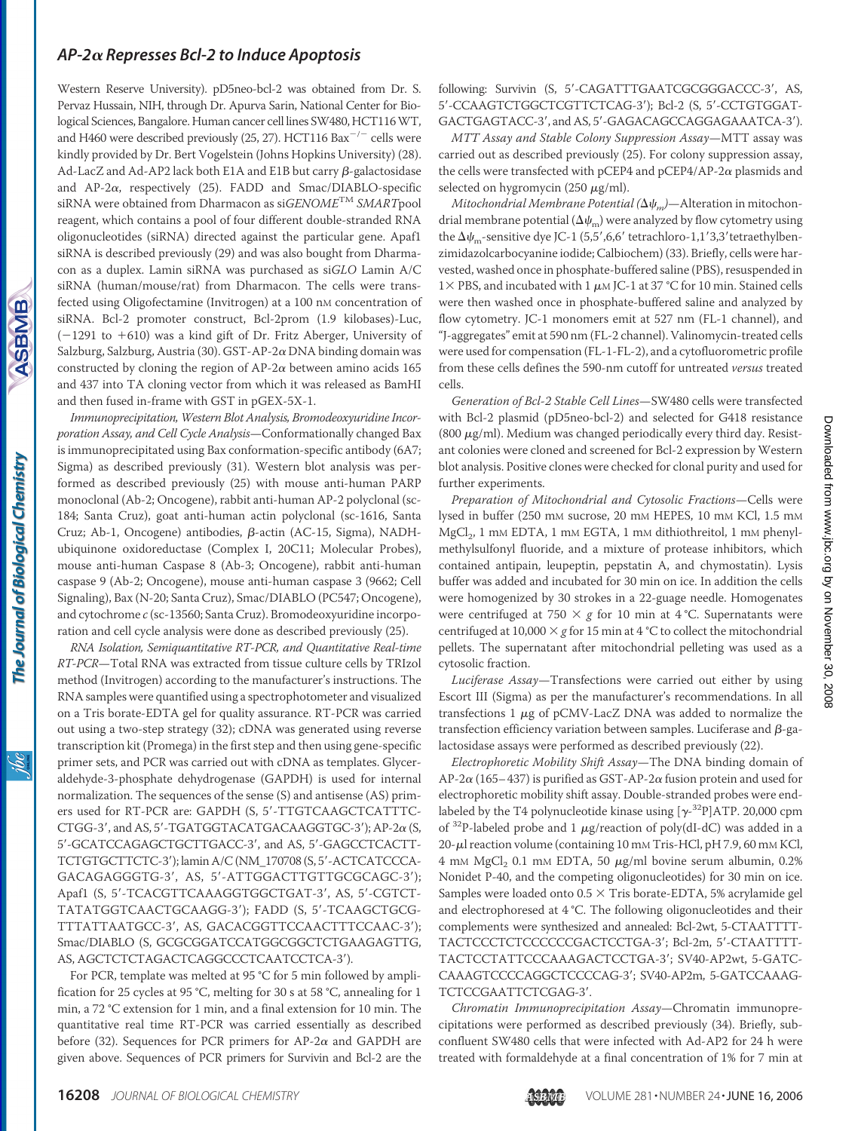Western Reserve University). pD5neo-bcl-2 was obtained from Dr. S. Pervaz Hussain, NIH, through Dr. Apurva Sarin, National Center for Biological Sciences, Bangalore. Human cancer cell lines SW480, HCT116WT, and H460 were described previously (25, 27). HCT116  $Bax^{-/-}$  cells were kindly provided by Dr. Bert Vogelstein (Johns Hopkins University) (28). Ad-LacZ and Ad-AP2 lack both E1A and E1B but carry  $\beta$ -galactosidase and  $AP-2\alpha$ , respectively (25). FADD and Smac/DIABLO-specific siRNA were obtained from Dharmacon as si*GENOME*TM *SMART*pool reagent, which contains a pool of four different double-stranded RNA oligonucleotides (siRNA) directed against the particular gene. Apaf1 siRNA is described previously (29) and was also bought from Dharmacon as a duplex. Lamin siRNA was purchased as si*GLO* Lamin A/C siRNA (human/mouse/rat) from Dharmacon. The cells were transfected using Oligofectamine (Invitrogen) at a 100 nm concentration of siRNA. Bcl-2 promoter construct, Bcl-2prom (1.9 kilobases)-Luc,  $(-1291$  to  $+610)$  was a kind gift of Dr. Fritz Aberger, University of Salzburg, Salzburg, Austria (30). GST-AP-2 $\alpha$  DNA binding domain was constructed by cloning the region of AP-2 $\alpha$  between amino acids 165 and 437 into TA cloning vector from which it was released as BamHI and then fused in-frame with GST in pGEX-5X-1.

*Immunoprecipitation, Western Blot Analysis, Bromodeoxyuridine Incorporation Assay, and Cell Cycle Analysis*—Conformationally changed Bax is immunoprecipitated using Bax conformation-specific antibody (6A7; Sigma) as described previously (31). Western blot analysis was performed as described previously (25) with mouse anti-human PARP monoclonal (Ab-2; Oncogene), rabbit anti-human AP-2 polyclonal (sc-184; Santa Cruz), goat anti-human actin polyclonal (sc-1616, Santa Cruz; Ab-1, Oncogene) antibodies, β-actin (AC-15, Sigma), NADHubiquinone oxidoreductase (Complex I, 20C11; Molecular Probes), mouse anti-human Caspase 8 (Ab-3; Oncogene), rabbit anti-human caspase 9 (Ab-2; Oncogene), mouse anti-human caspase 3 (9662; Cell Signaling), Bax (N-20; Santa Cruz), Smac/DIABLO (PC547; Oncogene), and cytochrome *c* (sc-13560; Santa Cruz). Bromodeoxyuridine incorporation and cell cycle analysis were done as described previously (25).

*RNA Isolation, Semiquantitative RT-PCR, and Quantitative Real-time RT-PCR*—Total RNA was extracted from tissue culture cells by TRIzol method (Invitrogen) according to the manufacturer's instructions. The RNA samples were quantified using a spectrophotometer and visualized on a Tris borate-EDTA gel for quality assurance. RT-PCR was carried out using a two-step strategy (32); cDNA was generated using reverse transcription kit (Promega) in the first step and then using gene-specific primer sets, and PCR was carried out with cDNA as templates. Glyceraldehyde-3-phosphate dehydrogenase (GAPDH) is used for internal normalization. The sequences of the sense (S) and antisense (AS) primers used for RT-PCR are: GAPDH (S, 5'-TTGTCAAGCTCATTTC-CTGG-3', and AS, 5'-TGATGGTACATGACAAGGTGC-3'); AP-2 $\alpha$  (S, 5'-GCATCCAGAGCTGCTTGACC-3', and AS, 5'-GAGCCTCACTT-TCTGTGCTTCTC-3'); lamin A/C (NM\_170708 (S, 5'-ACTCATCCCA-GACAGAGGGTG-3, AS, 5-ATTGGACTTGTTGCGCAGC-3); Apaf1 (S, 5'-TCACGTTCAAAGGTGGCTGAT-3', AS, 5'-CGTCT-TATATGGTCAACTGCAAGG-3'); FADD (S, 5'-TCAAGCTGCG-TTTATTAATGCC-3, AS, GACACGGTTCCAACTTTCCAAC-3); Smac/DIABLO (S, GCGCGGATCCATGGCGGCTCTGAAGAGTTG, AS, AGCTCTCTAGACTCAGGCCCTCAATCCTCA-3).

For PCR, template was melted at 95 °C for 5 min followed by amplification for 25 cycles at 95 °C, melting for 30 s at 58 °C, annealing for 1 min, a 72 °C extension for 1 min, and a final extension for 10 min. The quantitative real time RT-PCR was carried essentially as described before (32). Sequences for PCR primers for AP-2 $\alpha$  and GAPDH are given above. Sequences of PCR primers for Survivin and Bcl-2 are the following: Survivin (S, 5'-CAGATTTGAATCGCGGGACCC-3', AS, 5-CCAAGTCTGGCTCGTTCTCAG-3); Bcl-2 (S, 5-CCTGTGGAT-GACTGAGTACC-3', and AS, 5'-GAGACAGCCAGGAGAAATCA-3').

*MTT Assay and Stable Colony Suppression Assay*—MTT assay was carried out as described previously (25). For colony suppression assay, the cells were transfected with pCEP4 and pCEP4/AP-2 $\alpha$  plasmids and selected on hygromycin (250  $\mu$ g/ml).

*Mitochondrial Membrane Potential*  $(\Delta \psi_m)$ —Alteration in mitochondrial membrane potential ( $\Delta\psi_m$ ) were analyzed by flow cytometry using the  $\Delta\psi_{\rm m}$ -sensitive dye JC-1 (5,5',6,6' tetrachloro-1,1'3,3' tetraethylbenzimidazolcarbocyanine iodide; Calbiochem) (33). Briefly, cells were harvested, washed once in phosphate-buffered saline (PBS), resuspended in  $1\times$  PBS, and incubated with 1  $\mu$ M JC-1 at 37 °C for 10 min. Stained cells were then washed once in phosphate-buffered saline and analyzed by flow cytometry. JC-1 monomers emit at 527 nm (FL-1 channel), and "J-aggregates" emit at 590 nm (FL-2 channel). Valinomycin-treated cells were used for compensation (FL-1-FL-2), and a cytofluorometric profile from these cells defines the 590-nm cutoff for untreated *versus* treated cells.

*Generation of Bcl-2 Stable Cell Lines*—SW480 cells were transfected with Bcl-2 plasmid (pD5neo-bcl-2) and selected for G418 resistance (800  $\mu$ g/ml). Medium was changed periodically every third day. Resistant colonies were cloned and screened for Bcl-2 expression by Western blot analysis. Positive clones were checked for clonal purity and used for further experiments.

*Preparation of Mitochondrial and Cytosolic Fractions*—Cells were lysed in buffer (250 mM sucrose, 20 mM HEPES, 10 mM KCl, 1.5 mM MgCl<sub>2</sub>, 1 mM EDTA, 1 mM EGTA, 1 mM dithiothreitol, 1 mM phenylmethylsulfonyl fluoride, and a mixture of protease inhibitors, which contained antipain, leupeptin, pepstatin A, and chymostatin). Lysis buffer was added and incubated for 30 min on ice. In addition the cells were homogenized by 30 strokes in a 22-guage needle. Homogenates were centrifuged at 750  $\times$  g for 10 min at 4 °C. Supernatants were centrifuged at 10,000  $\times$  g for 15 min at 4 °C to collect the mitochondrial pellets. The supernatant after mitochondrial pelleting was used as a cytosolic fraction.

*Luciferase Assay*—Transfections were carried out either by using Escort III (Sigma) as per the manufacturer's recommendations. In all transfections  $1 \mu$ g of pCMV-LacZ DNA was added to normalize the transfection efficiency variation between samples. Luciferase and  $\beta$ -galactosidase assays were performed as described previously (22).

*Electrophoretic Mobility Shift Assay*—The DNA binding domain of AP-2 $\alpha$  (165–437) is purified as GST-AP-2 $\alpha$  fusion protein and used for electrophoretic mobility shift assay. Double-stranded probes were endlabeled by the T4 polynucleotide kinase using  $[\gamma^{-32}P]$ ATP. 20,000 cpm of <sup>32</sup>P-labeled probe and 1  $\mu$ g/reaction of poly(dI-dC) was added in a  $20$ - $\mu$ l reaction volume (containing 10 mM Tris-HCl, pH 7.9, 60 mM KCl, 4 mm  $MgCl<sub>2</sub>$  0.1 mm EDTA, 50  $\mu$ g/ml bovine serum albumin, 0.2% Nonidet P-40, and the competing oligonucleotides) for 30 min on ice. Samples were loaded onto  $0.5 \times$  Tris borate-EDTA, 5% acrylamide gel and electrophoresed at 4 °C. The following oligonucleotides and their complements were synthesized and annealed: Bcl-2wt, 5-CTAATTTT-TACTCCCTCTCCCCCCGACTCCTGA-3'; Bcl-2m, 5'-CTAATTTT-TACTCCTATTCCCAAAGACTCCTGA-3; SV40-AP2wt, 5-GATC-CAAAGTCCCCAGGCTCCCCAG-3; SV40-AP2m, 5-GATCCAAAG-TCTCCGAATTCTCGAG-3'.

*Chromatin Immunoprecipitation Assay*—Chromatin immunoprecipitations were performed as described previously (34). Briefly, subconfluent SW480 cells that were infected with Ad-AP2 for 24 h were treated with formaldehyde at a final concentration of 1% for 7 min at

**ASBMB** 

The Journal of Biological Chemistry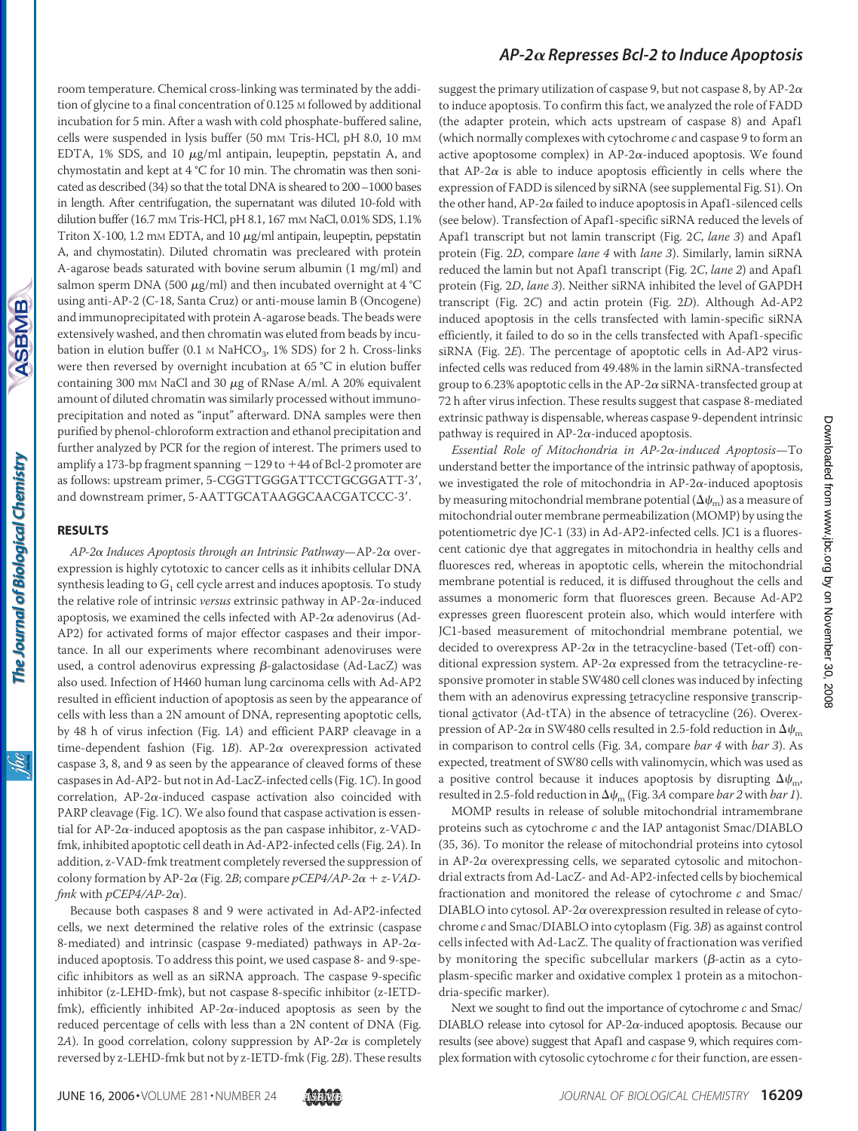room temperature. Chemical cross-linking was terminated by the addition of glycine to a final concentration of 0.125 M followed by additional incubation for 5 min. After a wash with cold phosphate-buffered saline, cells were suspended in lysis buffer (50 mm Tris-HCl, pH 8.0, 10 mm EDTA,  $1\%$  SDS, and  $10 \mu g/ml$  antipain, leupeptin, pepstatin A, and chymostatin and kept at 4 °C for 10 min. The chromatin was then sonicated as described (34) so that the total DNA is sheared to 200–1000 bases in length. After centrifugation, the supernatant was diluted 10-fold with dilution buffer (16.7 mM Tris-HCl, pH 8.1, 167 mM NaCl, 0.01% SDS, 1.1% Triton X-100, 1.2 mM EDTA, and 10  $\mu$ g/ml antipain, leupeptin, pepstatin A, and chymostatin). Diluted chromatin was precleared with protein A-agarose beads saturated with bovine serum albumin (1 mg/ml) and salmon sperm DNA (500  $\mu$ g/ml) and then incubated overnight at 4 °C using anti-AP-2 (C-18, Santa Cruz) or anti-mouse lamin B (Oncogene) and immunoprecipitated with protein A-agarose beads. The beads were extensively washed, and then chromatin was eluted from beads by incubation in elution buffer (0.1  $\text{M}$  NaHCO<sub>3</sub>, 1% SDS) for 2 h. Cross-links were then reversed by overnight incubation at 65 °C in elution buffer containing 300 mm NaCl and 30  $\mu$ g of RNase A/ml. A 20% equivalent amount of diluted chromatin was similarly processed without immunoprecipitation and noted as "input" afterward. DNA samples were then purified by phenol-chloroform extraction and ethanol precipitation and further analyzed by PCR for the region of interest. The primers used to amplify a 173-bp fragment spanning  $-129$  to  $+44$  of Bcl-2 promoter are as follows: upstream primer, 5-CGGTTGGGATTCCTGCGGATT-3', and downstream primer, 5-AATTGCATAAGGCAACGATCCC-3'.

#### **RESULTS**

*AP-2 Induces Apoptosis through an Intrinsic Pathway*—AP-2 overexpression is highly cytotoxic to cancer cells as it inhibits cellular DNA synthesis leading to  $G_1$  cell cycle arrest and induces apoptosis. To study the relative role of intrinsic *versus* extrinsic pathway in  $AP-2\alpha$ -induced apoptosis, we examined the cells infected with  $AP-2\alpha$  adenovirus (Ad-AP2) for activated forms of major effector caspases and their importance. In all our experiments where recombinant adenoviruses were used, a control adenovirus expressing  $\beta$ -galactosidase (Ad-LacZ) was also used. Infection of H460 human lung carcinoma cells with Ad-AP2 resulted in efficient induction of apoptosis as seen by the appearance of cells with less than a 2N amount of DNA, representing apoptotic cells, by 48 h of virus infection (Fig. 1*A*) and efficient PARP cleavage in a time-dependent fashion (Fig.  $1B$ ). AP-2 $\alpha$  overexpression activated caspase 3, 8, and 9 as seen by the appearance of cleaved forms of these caspases in Ad-AP2- but not in Ad-LacZ-infected cells (Fig. 1*C*). In good correlation, AP-2 $\alpha$ -induced caspase activation also coincided with PARP cleavage (Fig. 1*C*). We also found that caspase activation is essential for AP-2 $\alpha$ -induced apoptosis as the pan caspase inhibitor, z-VADfmk, inhibited apoptotic cell death in Ad-AP2-infected cells (Fig. 2*A*). In addition, z-VAD-fmk treatment completely reversed the suppression of colony formation by AP-2 $\alpha$  (Fig. 2*B*; compare  $pCEP4/AP-2\alpha + z-VAD$ *fmk* with  $pCEP4/AP-2\alpha$ ).

Because both caspases 8 and 9 were activated in Ad-AP2-infected cells, we next determined the relative roles of the extrinsic (caspase 8-mediated) and intrinsic (caspase 9-mediated) pathways in AP-2 $\alpha$ induced apoptosis. To address this point, we used caspase 8- and 9-specific inhibitors as well as an siRNA approach. The caspase 9-specific inhibitor (z-LEHD-fmk), but not caspase 8-specific inhibitor (z-IETDfmk), efficiently inhibited AP-2 $\alpha$ -induced apoptosis as seen by the reduced percentage of cells with less than a 2N content of DNA (Fig. 2A). In good correlation, colony suppression by  $AP-2\alpha$  is completely reversed by z-LEHD-fmk but not by z-IETD-fmk (Fig. 2*B*). These results

#### *AP-2 Represses Bcl-2 to Induce Apoptosis*

suggest the primary utilization of caspase 9, but not caspase 8, by AP-2 $\alpha$ to induce apoptosis. To confirm this fact, we analyzed the role of FADD (the adapter protein, which acts upstream of caspase 8) and Apaf1 (which normally complexes with cytochrome *c* and caspase 9 to form an active apoptosome complex) in  $AP-2\alpha$ -induced apoptosis. We found that AP-2 $\alpha$  is able to induce apoptosis efficiently in cells where the expression of FADD is silenced by siRNA (see supplemental Fig. S1). On the other hand, AP-2 $\alpha$  failed to induce apoptosis in Apaf1-silenced cells (see below). Transfection of Apaf1-specific siRNA reduced the levels of Apaf1 transcript but not lamin transcript (Fig. 2*C*, *lane 3*) and Apaf1 protein (Fig. 2*D*, compare *lane 4* with *lane 3*). Similarly, lamin siRNA reduced the lamin but not Apaf1 transcript (Fig. 2*C*, *lane 2*) and Apaf1 protein (Fig. 2*D*, *lane 3*). Neither siRNA inhibited the level of GAPDH transcript (Fig. 2*C*) and actin protein (Fig. 2*D*). Although Ad-AP2 induced apoptosis in the cells transfected with lamin-specific siRNA efficiently, it failed to do so in the cells transfected with Apaf1-specific siRNA (Fig. 2*E*). The percentage of apoptotic cells in Ad-AP2 virusinfected cells was reduced from 49.48% in the lamin siRNA-transfected group to 6.23% apoptotic cells in the AP-2 $\alpha$  siRNA-transfected group at 72 h after virus infection. These results suggest that caspase 8-mediated extrinsic pathway is dispensable, whereas caspase 9-dependent intrinsic pathway is required in  $AP-2\alpha$ -induced apoptosis.

*Essential Role of Mitochondria in AP-2-induced Apoptosis*—To understand better the importance of the intrinsic pathway of apoptosis, we investigated the role of mitochondria in AP-2 $\alpha$ -induced apoptosis by measuring mitochondrial membrane potential ( $\Delta \psi_{\text{m}}$ ) as a measure of mitochondrial outer membrane permeabilization (MOMP) by using the potentiometric dye JC-1 (33) in Ad-AP2-infected cells. JC1 is a fluorescent cationic dye that aggregates in mitochondria in healthy cells and fluoresces red, whereas in apoptotic cells, wherein the mitochondrial membrane potential is reduced, it is diffused throughout the cells and assumes a monomeric form that fluoresces green. Because Ad-AP2 expresses green fluorescent protein also, which would interfere with JC1-based measurement of mitochondrial membrane potential, we decided to overexpress AP-2 $\alpha$  in the tetracycline-based (Tet-off) conditional expression system. AP-2 $\alpha$  expressed from the tetracycline-responsive promoter in stable SW480 cell clones was induced by infecting them with an adenovirus expressing tetracycline responsive transcriptional activator (Ad-tTA) in the absence of tetracycline (26). Overexpression of AP-2 $\alpha$  in SW480 cells resulted in 2.5-fold reduction in  $\Delta\psi_m$ in comparison to control cells (Fig. 3*A*, compare *bar 4* with *bar 3*). As expected, treatment of SW80 cells with valinomycin, which was used as a positive control because it induces apoptosis by disrupting  $\Delta \psi_{\rm m}$ , resulted in 2.5-fold reduction in  $\Delta \psi_m$  (Fig. 3*A* compare *bar 2* with *bar 1*).

MOMP results in release of soluble mitochondrial intramembrane proteins such as cytochrome *c* and the IAP antagonist Smac/DIABLO (35, 36). To monitor the release of mitochondrial proteins into cytosol in  $AP-2\alpha$  overexpressing cells, we separated cytosolic and mitochondrial extracts from Ad-LacZ- and Ad-AP2-infected cells by biochemical fractionation and monitored the release of cytochrome *c* and Smac/ DIABLO into cytosol. AP- $2\alpha$  overexpression resulted in release of cytochrome *c* and Smac/DIABLO into cytoplasm (Fig. 3*B*) as against control cells infected with Ad-LacZ. The quality of fractionation was verified by monitoring the specific subcellular markers ( $\beta$ -actin as a cytoplasm-specific marker and oxidative complex 1 protein as a mitochondria-specific marker).

Next we sought to find out the importance of cytochrome *c* and Smac/ DIABLO release into cytosol for  $AP-2\alpha$ -induced apoptosis. Because our results (see above) suggest that Apaf1 and caspase 9, which requires complex formation with cytosolic cytochrome *c* for their function, are essen-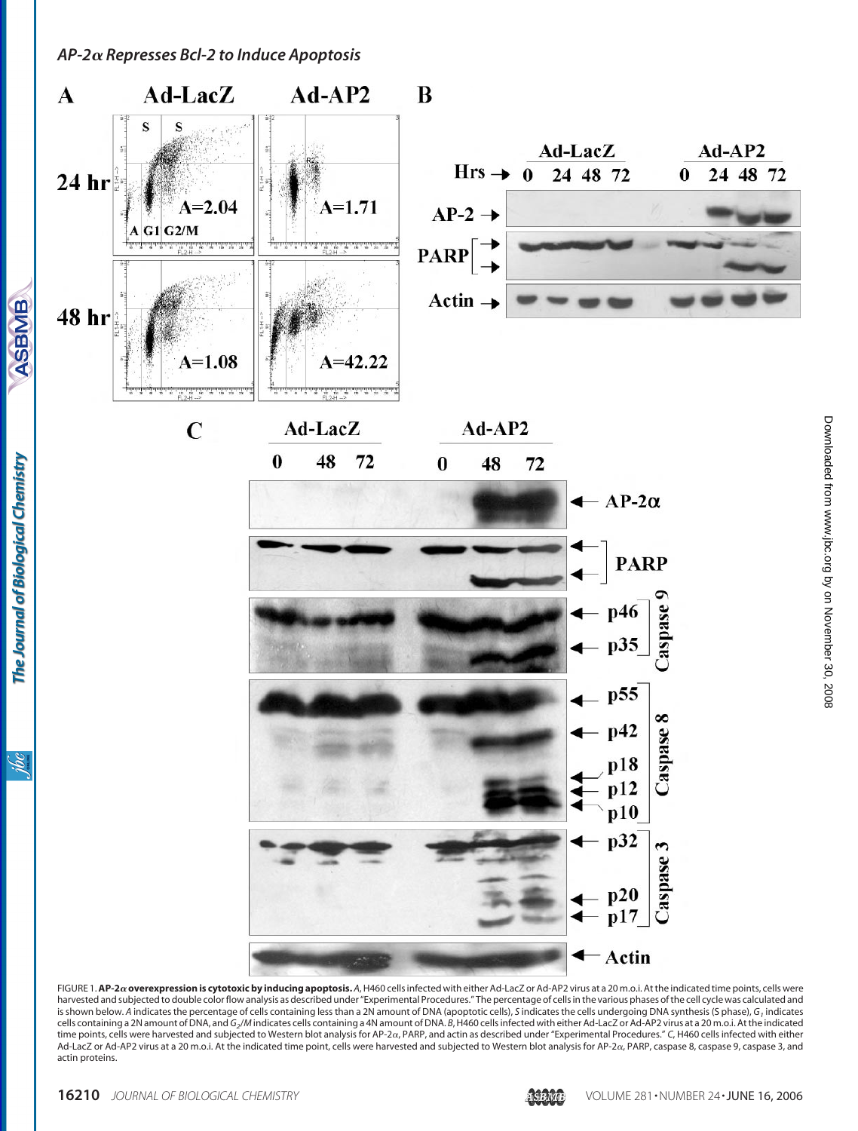

FIGURE 1.**AP-2overexpression is cytotoxic by inducing apoptosis.** *A*, H460 cells infected with either Ad-LacZ or Ad-AP2 virus at a 20 m.o.i. At the indicated time points, cells were harvested and subjected to double color flow analysis as described under "Experimental Procedures." The percentage of cells in the various phases ofthe cell cycle was calculated and is shown below. A indicates the percentage of cells containing less than a 2N amount of DNA (apoptotic cells), S indicates the cells undergoing DNA synthesis (S phase), G, indicates<br>cells containing a 2N amount of DNA, and Ad-LacZ or Ad-AP2 virus at a 20 m.o.i. At the indicated time point, cells were harvested and subjected to Western blot analysis for AP-2α, PARP, caspase 8, caspase 9, caspase 3, and actin proteins.

The Journal of Biological Chemistry

**ASBMB**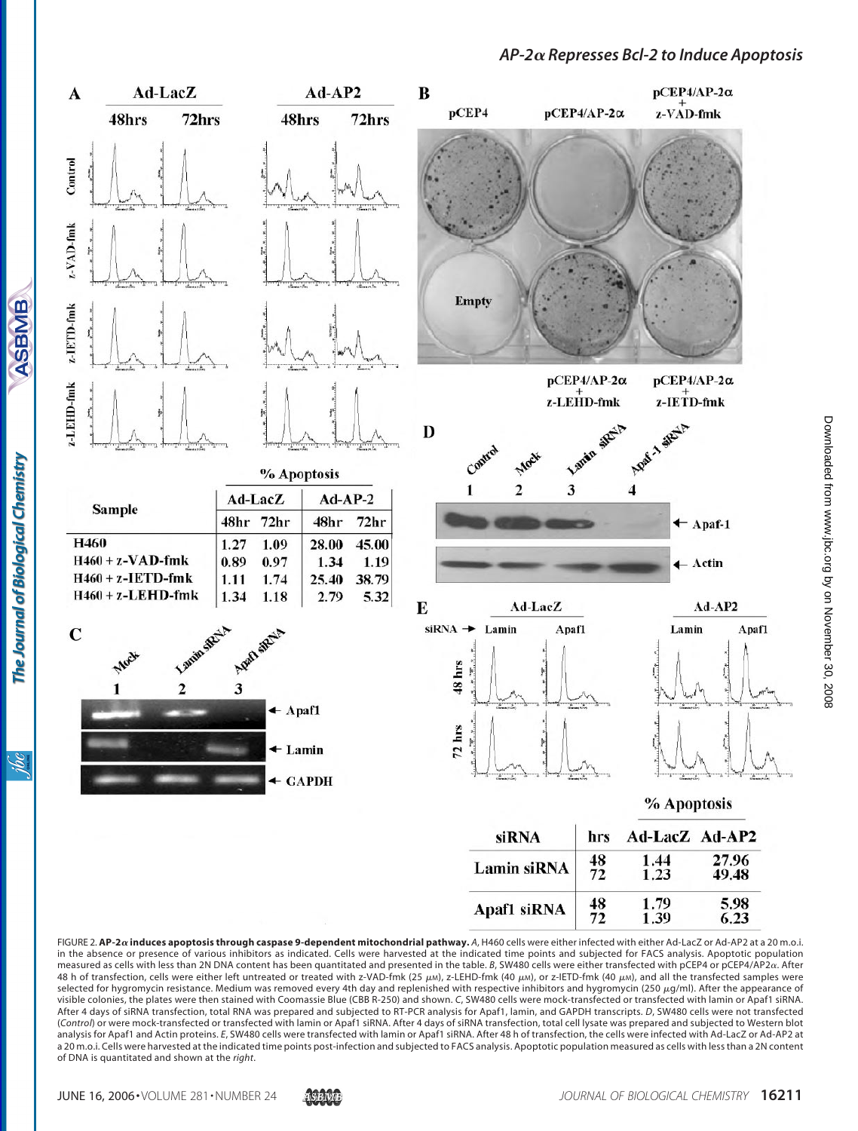

FIGURE 2. AP-2a induces apoptosis through caspase 9-dependent mitochondrial pathway. A, H460 cells were either infected with either Ad-LacZ or Ad-AP2 at a 20 m.o.i. in the absence or presence of various inhibitors as indicated. Cells were harvested at the indicated time points and subjected for FACS analysis. Apoptotic population measured as cells with less than 2N DNA content has been quantitated and presented in the table. *B*, SW480 cells were either transfected with pCEP4 or pCEP4/AP2. After 48 h of transfection, cells were either left untreated or treated with z-VAD-fmk (25 µM), z-LEHD-fmk (40 µM), or z-IETD-fmk (40 µM), and all the transfected samples were selected for hygromycin resistance. Medium was removed every 4th day and replenished with respective inhibitors and hygromycin (250  $\mu$ g/ml). After the appearance of visible colonies, the plates were then stained with Coomassie Blue (CBB R-250) and shown. *C*, SW480 cells were mock-transfected or transfected with lamin or Apaf1 siRNA. After 4 days of siRNA transfection, total RNA was prepared and subjected to RT-PCR analysis for Apaf1, lamin, and GAPDH transcripts. *D*, SW480 cells were not transfected (*Control*) or were mock-transfected or transfected with lamin or Apaf1 siRNA. After 4 days of siRNA transfection, total cell lysate was prepared and subjected to Western blot analysis for Apaf1 and Actin proteins. *E*, SW480 cells were transfected with lamin or Apaf1 siRNA. After 48 h of transfection, the cells were infected with Ad-LacZ or Ad-AP2 at a 20 m.o.i. Cells were harvested at the indicated time points post-infection and subjected to FACS analysis. Apoptotic population measured as cells with less than a 2N content of DNA is quantitated and shown at the *right*.

**ASBMB** 

The Journal of Biological Chemistry

<u>Sgi</u>

1.39

6.23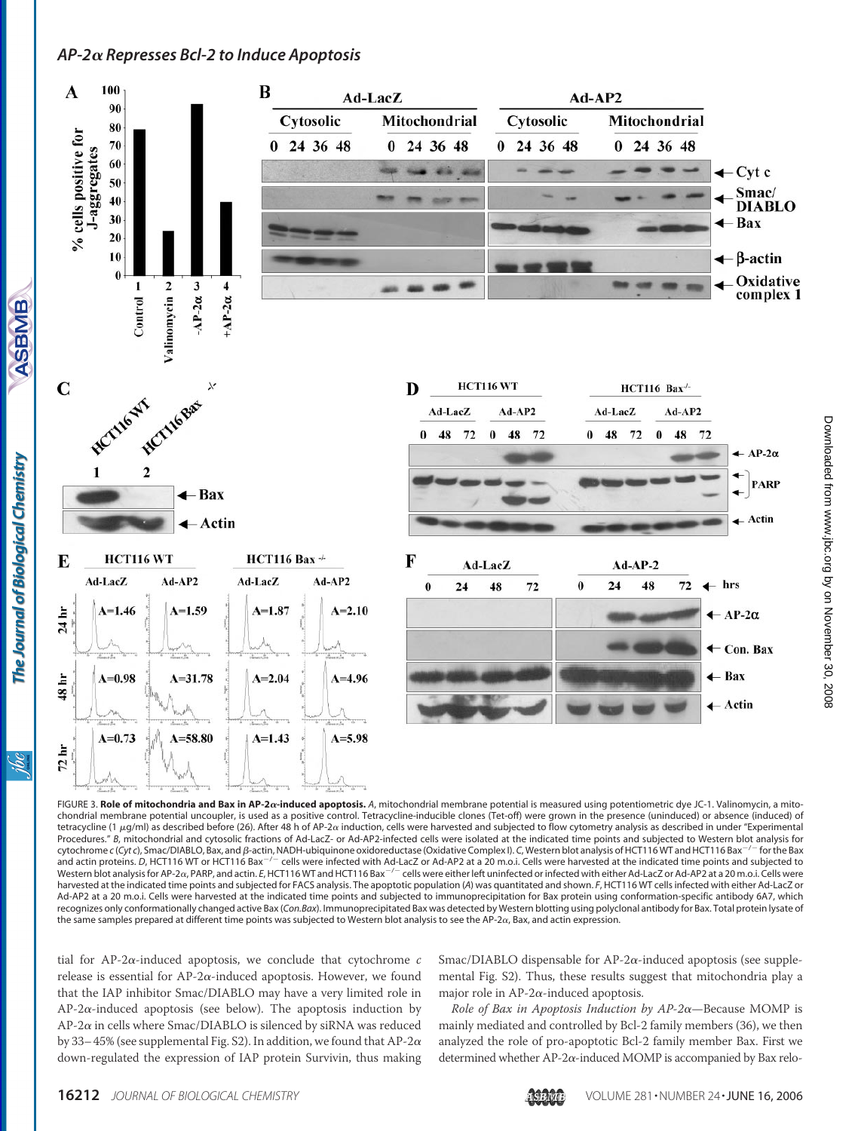

FIGURE 3. Role of mitochondria and Bax in AP-2 $\alpha$ -induced apoptosis. A, mitochondrial membrane potential is measured using potentiometric dye JC-1. Valinomycin, a mitochondrial membrane potential uncoupler, is used as a positive control. Tetracycline-inducible clones (Tet-off) were grown in the presence (uninduced) or absence (induced) of tetracycline (1  $\mu$ g/ml) as described before (26). After 48 h of AP-2 $\alpha$  induction, cells were harvested and subjected to flow cytometry analysis as described in under "Experimental Procedures." *B*, mitochondrial and cytosolic fractions of Ad-LacZ- or Ad-AP2-infected cells were isolated at the indicated time points and subjected to Western blot analysis for cytochrome c (Cyt c), Smac/DIABLO, Bax, and *ß*-actin, NADH-ubiquinone oxidoreductase (Oxidative Complex I). C, Western blot analysis of HCT116 WT and HCT116 Bax<sup>-/-</sup> for the Bax and actin proteins. D, HCT116 WT or HCT116 Bax<sup>-/-</sup> cells were infected with Ad-LacZ or Ad-AP2 at a 20 m.o.i. Cells were harvested at the indicated time points and subjected to Western blot analysis for AP-2α, PARP, and actin. *E*, HCT116 WT and HCT116 Bax<sup>-/-</sup> cells were either left uninfected or infected with either Ad-LacZ or Ad-AP2 at a 20 m.o.i. Cells were harvested at the indicated time points and subjected for FACS analysis. The apoptotic population (*A*) was quantitated and shown. *F*, HCT116 WT cells infected with either Ad-LacZ or Ad-AP2 at a 20 m.o.i. Cells were harvested at the indicated time points and subjected to immunoprecipitation for Bax protein using conformation-specific antibody 6A7, which recognizes only conformationally changed active Bax (*Con.Bax*). Immunoprecipitated Bax was detected by Western blotting using polyclonal antibody for Bax. Total protein lysate of the same samples prepared at different time points was subjected to Western blot analysis to see the AP-2a, Bax, and actin expression.

tial for AP-2 $\alpha$ -induced apoptosis, we conclude that cytochrome  $c$ release is essential for AP-2 $\alpha$ -induced apoptosis. However, we found that the IAP inhibitor Smac/DIABLO may have a very limited role in  $AP-2\alpha$ -induced apoptosis (see below). The apoptosis induction by  $AP-2\alpha$  in cells where Smac/DIABLO is silenced by siRNA was reduced by 33-45% (see supplemental Fig. S2). In addition, we found that AP-2 $\alpha$ down-regulated the expression of IAP protein Survivin, thus making

Smac/DIABLO dispensable for AP-2 $\alpha$ -induced apoptosis (see supplemental Fig. S2). Thus, these results suggest that mitochondria play a major role in AP-2 $\alpha$ -induced apoptosis.

*Role of Bax in Apoptosis Induction by AP-2*—Because MOMP is mainly mediated and controlled by Bcl-2 family members (36), we then analyzed the role of pro-apoptotic Bcl-2 family member Bax. First we determined whether AP-2 $\alpha$ -induced MOMP is accompanied by Bax relo-

The Journal of Biological Chemistry

<u>is</u>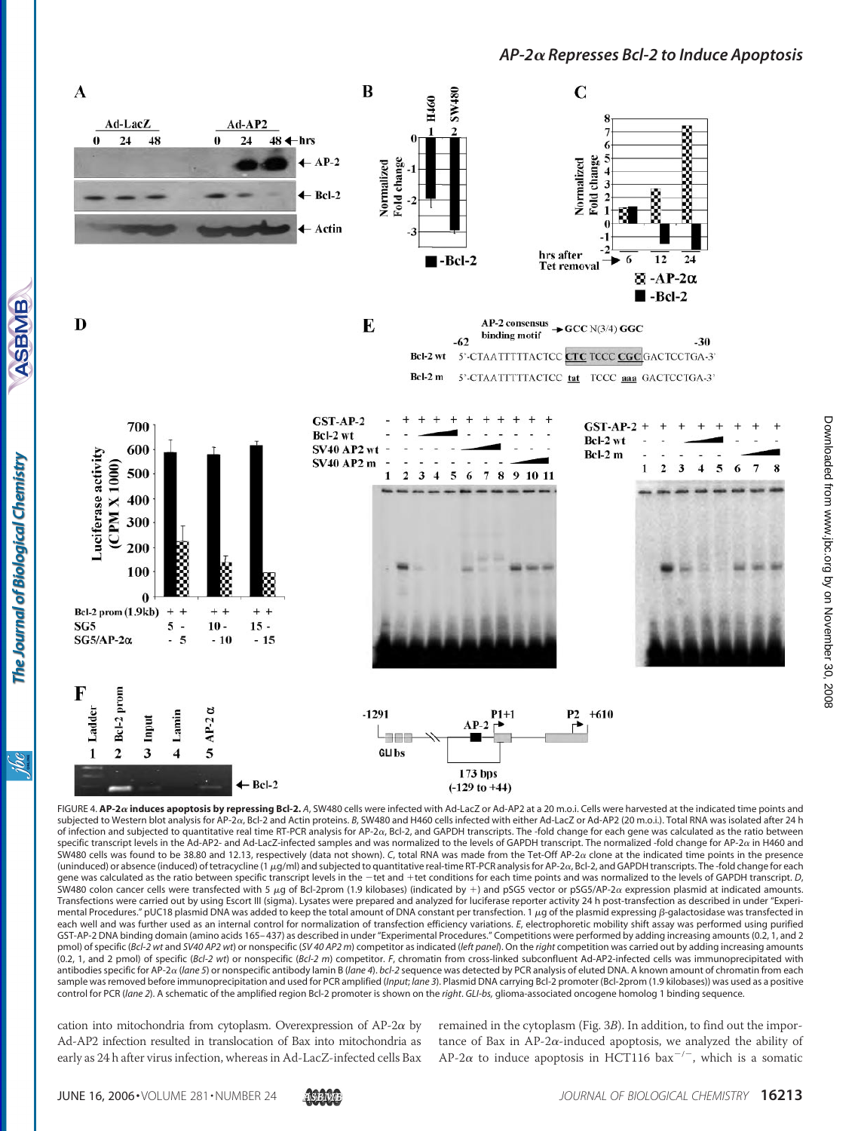

FIGURE 4. AP-2 $\alpha$  induces apoptosis by repressing Bcl-2. A, SW480 cells were infected with Ad-LacZ or Ad-AP2 at a 20 m.o.i. Cells were harvested at the indicated time points and subjected to Western blot analysis for AP-2α, Bcl-2 and Actin proteins. *B*, SW480 and H460 cells infected with either Ad-LacZ or Ad-AP2 (20 m.o.i.). Total RNA was isolated after 24 h of infection and subjected to quantitative real time RT-PCR analysis for AP-2a, Bcl-2, and GAPDH transcripts. The -fold change for each gene was calculated as the ratio between specific transcript levels in the Ad-AP2- and Ad-LacZ-infected samples and was normalized to the levels of GAPDH transcript. The normalized -fold change for AP-2 $\alpha$  in H460 and SW480 cells was found to be 38.80 and 12.13, respectively (data not shown). C, total RNA was made from the Tet-Off AP-2 $\alpha$  clone at the indicated time points in the presence (uninduced) or absence (induced) of tetracycline (1 µg/ml) and subjected to quantitative real-time RT-PCR analysis for AP-2 $\alpha$ , Bcl-2, and GAPDH transcripts. The -fold change for each gene was calculated as the ratio between specific transcript levels in the  $-\text{tet}$  and  $+\text{tet}$  conditions for each time points and was normalized to the levels of GAPDH transcript. *D*, SW480 colon cancer cells were transfected with 5  $\mu$ g of Bcl-2prom (1.9 kilobases) (indicated by +) and pSG5 vector or pSG5/AP-2 $\alpha$  expression plasmid at indicated amounts. Transfections were carried out by using Escort III (sigma). Lysates were prepared and analyzed for luciferase reporter activity 24 h post-transfection as described in under "Experimental Procedures." pUC18 plasmid DNA was added to keep the total amount of DNA constant per transfection. 1 µg of the plasmid expressing β-galactosidase was transfected in each well and was further used as an internal control for normalization of transfection efficiency variations. *E*, electrophoretic mobility shift assay was performed using purified GST-AP-2 DNA binding domain (amino acids 165– 437) as described in under "Experimental Procedures." Competitions were performed by adding increasing amounts (0.2, 1, and 2 pmol) of specific (*Bcl-2 wt* and *SV40 AP2 wt*) or nonspecific (*SV 40 AP2 m*) competitor as indicated (*left panel*). On the *right* competition was carried out by adding increasing amounts (0.2, 1, and 2 pmol) of specific (*Bcl-2 wt*) or nonspecific (*Bcl-2 m*) competitor. *F*, chromatin from cross-linked subconfluent Ad-AP2-infected cells was immunoprecipitated with antibodies specific for AP-2 a (lane 5) or nonspecific antibody lamin B (lane 4). bcl-2 sequence was detected by PCR analysis of eluted DNA. A known amount of chromatin from each sample was removed before immunoprecipitation and used for PCR amplified (*Input*; *lane 3*). Plasmid DNA carrying Bcl-2 promoter (Bcl-2prom (1.9 kilobases)) was used as a positive control for PCR (*lane 2*). A schematic of the amplified region Bcl-2 promoter is shown on the *right*. *GLI-bs,* glioma-associated oncogene homolog 1 binding sequence.

cation into mitochondria from cytoplasm. Overexpression of  $AP-2\alpha$  by Ad-AP2 infection resulted in translocation of Bax into mitochondria as early as 24 h after virus infection, whereas in Ad-LacZ-infected cells Bax

remained in the cytoplasm (Fig. 3*B*). In addition, to find out the importance of Bax in AP-2 $\alpha$ -induced apoptosis, we analyzed the ability of AP-2 $\alpha$  to induce apoptosis in HCT116 bax<sup>-/-</sup>, which is a somatic

**ASBMB** 

The Journal of Biological Chemistry

<u>isi</u>

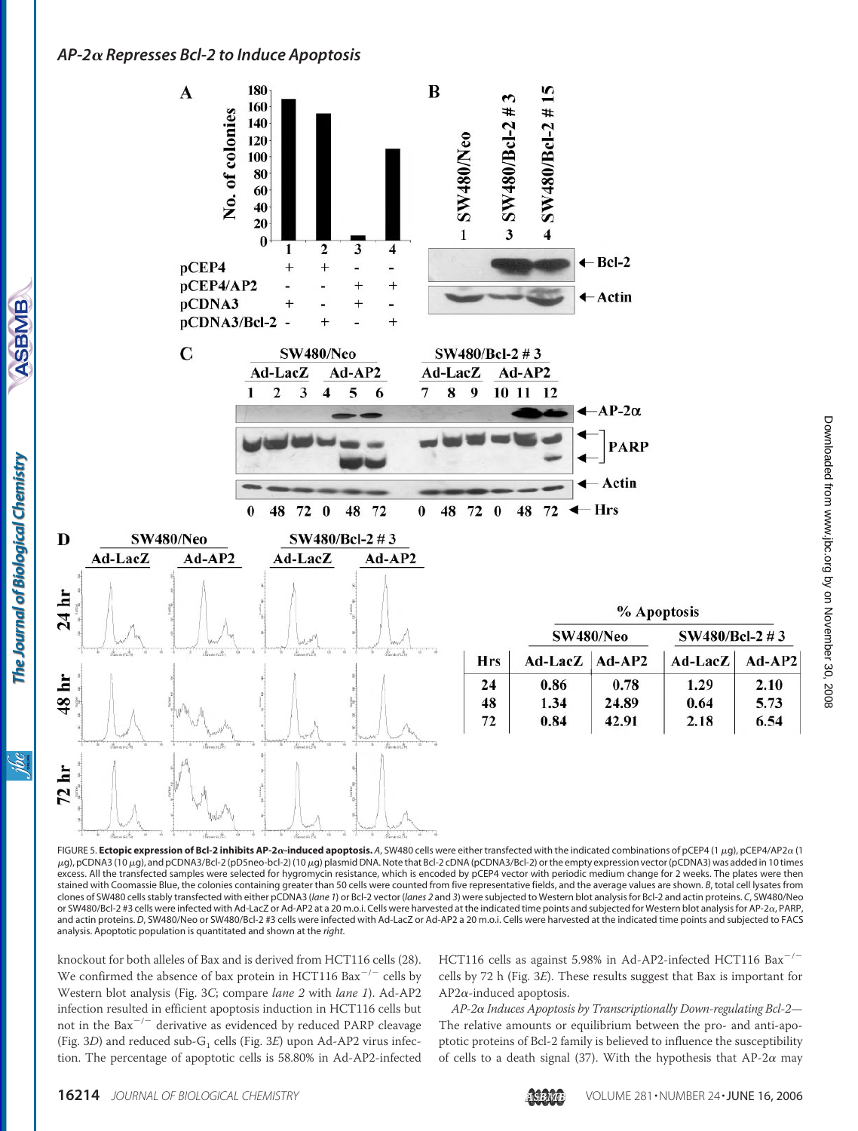**ASBMB** 

The Journal of Biological Chemistry

ibc



FIGURE 5. Ectopic expression of Bcl-2 inhibits AP-2*o*-induced apoptosis. A, SW480 cells were either transfected with the indicated combinations of pCEP4 (1 µg), pCEP4/AP2a (1 µg), pCDNA3 (10 µg), and pCDNA3/Bcl-2 (pD5neo-bcl-2) (10 µg) plasmid DNA. Note that Bcl-2 cDNA (pCDNA3/Bcl-2) or the empty expression vector (pCDNA3) was added in 10 times excess. All the transfected samples were selected for hygromycin resistance, which is encoded by pCEP4 vector with periodic medium change for 2 weeks. The plates were then stained with Coomassie Blue, the colonies containing greater than 50 cells were counted from five representative fields, and the average values are shown. *B*, total cell lysates from clones of SW480 cells stably transfected with either pCDNA3 (*lane 1*) or Bcl-2 vector (*lanes 2* and *3*) were subjected to Western blot analysis for Bcl-2 and actin proteins. *C*, SW480/Neo or SW480/Bcl-2 #3 cells were infected with Ad-LacZ or Ad-AP2 at a 20 m.o.i. Cells were harvested at the indicated time points and subjected for Western blot analysis for AP-2a, PARP, and actin proteins. *D*, SW480/Neo or SW480/Bcl-2 #3 cells were infected with Ad-LacZ or Ad-AP2 a 20 m.o.i. Cells were harvested at the indicated time points and subjected to FACS analysis. Apoptotic population is quantitated and shown at the *right*.

knockout for both alleles of Bax and is derived from HCT116 cells (28). We confirmed the absence of bax protein in HCT116 Bax<sup>-/-</sup> cells by Western blot analysis (Fig. 3*C*; compare *lane 2* with *lane 1*). Ad-AP2 infection resulted in efficient apoptosis induction in HCT116 cells but not in the Bax $^{-/-}$  derivative as evidenced by reduced PARP cleavage (Fig. 3D) and reduced sub-G<sub>1</sub> cells (Fig. 3E) upon Ad-AP2 virus infection. The percentage of apoptotic cells is 58.80% in Ad-AP2-infected

HCT116 cells as against 5.98% in Ad-AP2-infected HCT116  $\text{Bax}^{-/-}$ cells by 72 h (Fig. 3*E*). These results suggest that Bax is important for  $AP2\alpha$ -induced apoptosis.

*AP-2 Induces Apoptosis by Transcriptionally Down-regulating Bcl-2*— The relative amounts or equilibrium between the pro- and anti-apoptotic proteins of Bcl-2 family is believed to influence the susceptibility of cells to a death signal (37). With the hypothesis that AP-2 $\alpha$  may

Ad-AP2

2.10

5.73

6.54

1.29

0.64

2.18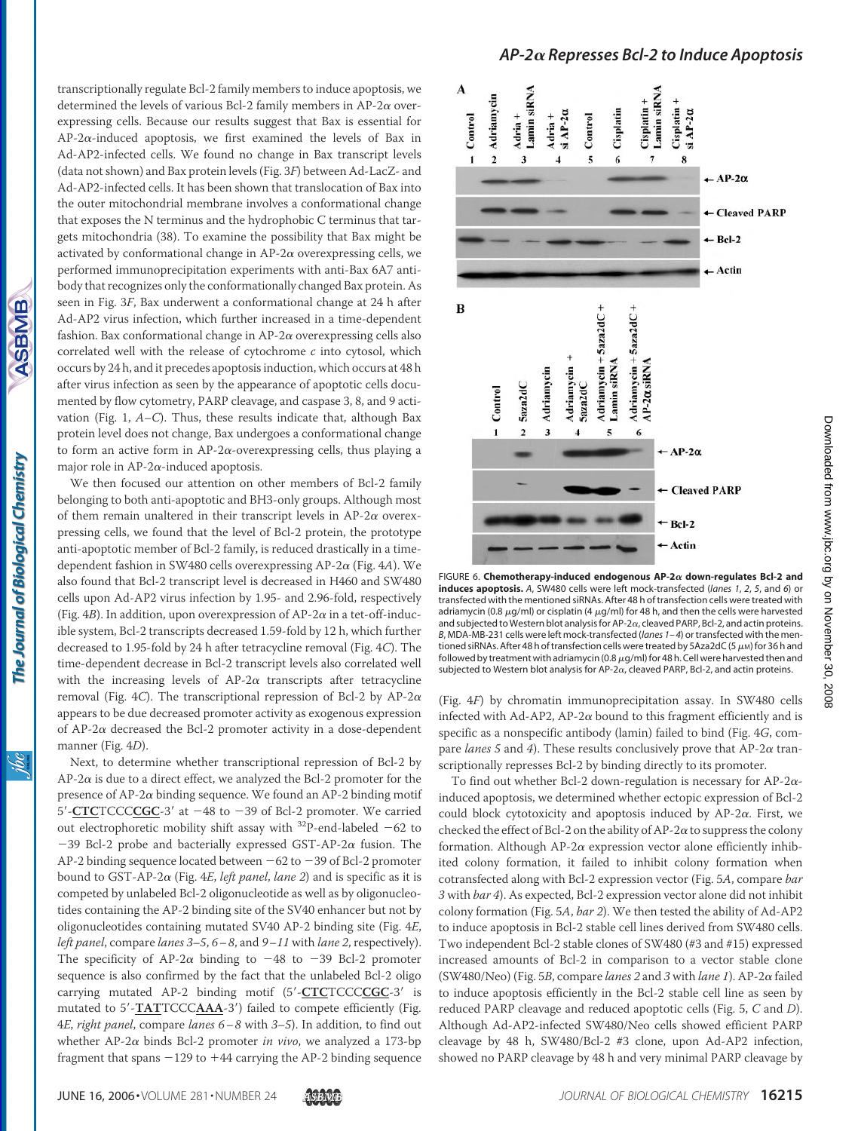ASBMB

<u>ж</u>

transcriptionally regulate Bcl-2 family members to induce apoptosis, we determined the levels of various Bcl-2 family members in AP-2 $\alpha$  overexpressing cells. Because our results suggest that Bax is essential for  $AP-2\alpha$ -induced apoptosis, we first examined the levels of Bax in Ad-AP2-infected cells. We found no change in Bax transcript levels (data not shown) and Bax protein levels (Fig. 3*F*) between Ad-LacZ- and Ad-AP2-infected cells. It has been shown that translocation of Bax into the outer mitochondrial membrane involves a conformational change that exposes the N terminus and the hydrophobic C terminus that targets mitochondria (38). To examine the possibility that Bax might be activated by conformational change in  $AP-2\alpha$  overexpressing cells, we performed immunoprecipitation experiments with anti-Bax 6A7 antibody that recognizes only the conformationally changed Bax protein. As seen in Fig. 3*F*, Bax underwent a conformational change at 24 h after Ad-AP2 virus infection, which further increased in a time-dependent fashion. Bax conformational change in  $AP-2\alpha$  overexpressing cells also correlated well with the release of cytochrome *c* into cytosol, which occurs by 24 h, and it precedes apoptosis induction, which occurs at 48 h after virus infection as seen by the appearance of apoptotic cells documented by flow cytometry, PARP cleavage, and caspase 3, 8, and 9 activation (Fig. 1, *A–C*). Thus, these results indicate that, although Bax protein level does not change, Bax undergoes a conformational change to form an active form in  $AP-2\alpha$ -overexpressing cells, thus playing a major role in AP-2 $\alpha$ -induced apoptosis.

We then focused our attention on other members of Bcl-2 family belonging to both anti-apoptotic and BH3-only groups. Although most of them remain unaltered in their transcript levels in  $AP-2\alpha$  overexpressing cells, we found that the level of Bcl-2 protein, the prototype anti-apoptotic member of Bcl-2 family, is reduced drastically in a timedependent fashion in SW480 cells overexpressing AP-2a (Fig. 4A). We also found that Bcl-2 transcript level is decreased in H460 and SW480 cells upon Ad-AP2 virus infection by 1.95- and 2.96-fold, respectively (Fig.  $4B$ ). In addition, upon overexpression of AP-2 $\alpha$  in a tet-off-inducible system, Bcl-2 transcripts decreased 1.59-fold by 12 h, which further decreased to 1.95-fold by 24 h after tetracycline removal (Fig. 4*C*). The time-dependent decrease in Bcl-2 transcript levels also correlated well with the increasing levels of  $AP-2\alpha$  transcripts after tetracycline removal (Fig. 4*C*). The transcriptional repression of Bcl-2 by AP-2 $\alpha$ appears to be due decreased promoter activity as exogenous expression of AP-2 $\alpha$  decreased the Bcl-2 promoter activity in a dose-dependent manner (Fig. 4*D*).

Next, to determine whether transcriptional repression of Bcl-2 by  $AP-2\alpha$  is due to a direct effect, we analyzed the Bcl-2 promoter for the presence of AP-2 $\alpha$  binding sequence. We found an AP-2 binding motif 5'-**CTC**TCCCCCGC-3' at -48 to -39 of Bcl-2 promoter. We carried out electrophoretic mobility shift assay with  $^{32}$ P-end-labeled -62 to  $-39$  Bcl-2 probe and bacterially expressed GST-AP-2 $\alpha$  fusion. The AP-2 binding sequence located between  $-62$  to  $-39$  of Bcl-2 promoter bound to GST-AP-2 (Fig. 4*E*, *left panel*, *lane 2*) and is specific as it is competed by unlabeled Bcl-2 oligonucleotide as well as by oligonucleotides containing the AP-2 binding site of the SV40 enhancer but not by oligonucleotides containing mutated SV40 AP-2 binding site (Fig. 4*E*, *left panel*, compare *lanes 3–5*, *6–8*, and *9 –11* with *lane 2*, respectively). The specificity of AP-2 $\alpha$  binding to -48 to -39 Bcl-2 promoter sequence is also confirmed by the fact that the unlabeled Bcl-2 oligo carrying mutated AP-2 binding motif (5-**CTC**TCCC**CGC**-3 is mutated to 5'-**TAT**TCCCAAA-3') failed to compete efficiently (Fig. 4*E*, *right panel*, compare *lanes 6 –8* with *3–5*). In addition, to find out whether  $AP-2\alpha$  binds Bcl-2 promoter *in vivo*, we analyzed a 173-bp fragment that spans  $-129$  to  $+44$  carrying the AP-2 binding sequence



FIGURE 6.  ${\sf Chemotherapy\text{-}induced\ endogenous\ AP\text{-}2\alpha\ down\text{-}regularness\ Bcl\text{-}2\ and$ **induces apoptosis.** *A*, SW480 cells were left mock-transfected (*lanes 1*, *2*, *5*, and *6*) or transfected with the mentioned siRNAs. After 48 h of transfection cells were treated with adriamycin (0.8  $\mu$ g/ml) or cisplatin (4  $\mu$ g/ml) for 48 h, and then the cells were harvested<br>and subjected to Western blot analysis for AP-2α, cleaved PARP, Bcl-2, and actin proteins. *B*, MDA-MB-231 cells were left mock-transfected (*lanes 1–4*) or transfected with the mentioned siRNAs. After 48 h of transfection cells were treated by 5Aza2dC (5  $\mu$ M) for 36 h and followed by treatment with adriamycin (0.8  $\mu$ g/ml) for 48 h. Cell were harvested then and subjected to Western blot analysis for AP-2 $\alpha$ , cleaved PARP, Bcl-2, and actin proteins.

(Fig. 4*F*) by chromatin immunoprecipitation assay. In SW480 cells infected with Ad-AP2, AP-2 $\alpha$  bound to this fragment efficiently and is specific as a nonspecific antibody (lamin) failed to bind (Fig. 4*G*, compare *lanes* 5 and 4). These results conclusively prove that  $AP-2\alpha$  transcriptionally represses Bcl-2 by binding directly to its promoter.

To find out whether Bcl-2 down-regulation is necessary for AP-2 $\alpha$ induced apoptosis, we determined whether ectopic expression of Bcl-2 could block cytotoxicity and apoptosis induced by  $AP-2\alpha$ . First, we checked the effect of Bcl-2 on the ability of AP-2 $\alpha$  to suppress the colony formation. Although AP-2 $\alpha$  expression vector alone efficiently inhibited colony formation, it failed to inhibit colony formation when cotransfected along with Bcl-2 expression vector (Fig. 5*A*, compare *bar 3* with *bar 4*). As expected, Bcl-2 expression vector alone did not inhibit colony formation (Fig. 5*A*, *bar 2*). We then tested the ability of Ad-AP2 to induce apoptosis in Bcl-2 stable cell lines derived from SW480 cells. Two independent Bcl-2 stable clones of SW480 (#3 and #15) expressed increased amounts of Bcl-2 in comparison to a vector stable clone (SW480/Neo) (Fig. 5B, compare *lanes* 2 and 3 with *lane 1*). AP-2 $\alpha$  failed to induce apoptosis efficiently in the Bcl-2 stable cell line as seen by reduced PARP cleavage and reduced apoptotic cells (Fig. 5, *C* and *D*). Although Ad-AP2-infected SW480/Neo cells showed efficient PARP cleavage by 48 h, SW480/Bcl-2 #3 clone, upon Ad-AP2 infection, showed no PARP cleavage by 48 h and very minimal PARP cleavage by

by on November 30, 2008 [www.jbc.org](http://www.jbc.org) Downloaded from

Downloaded from www.jbc.org by on November 30, 2008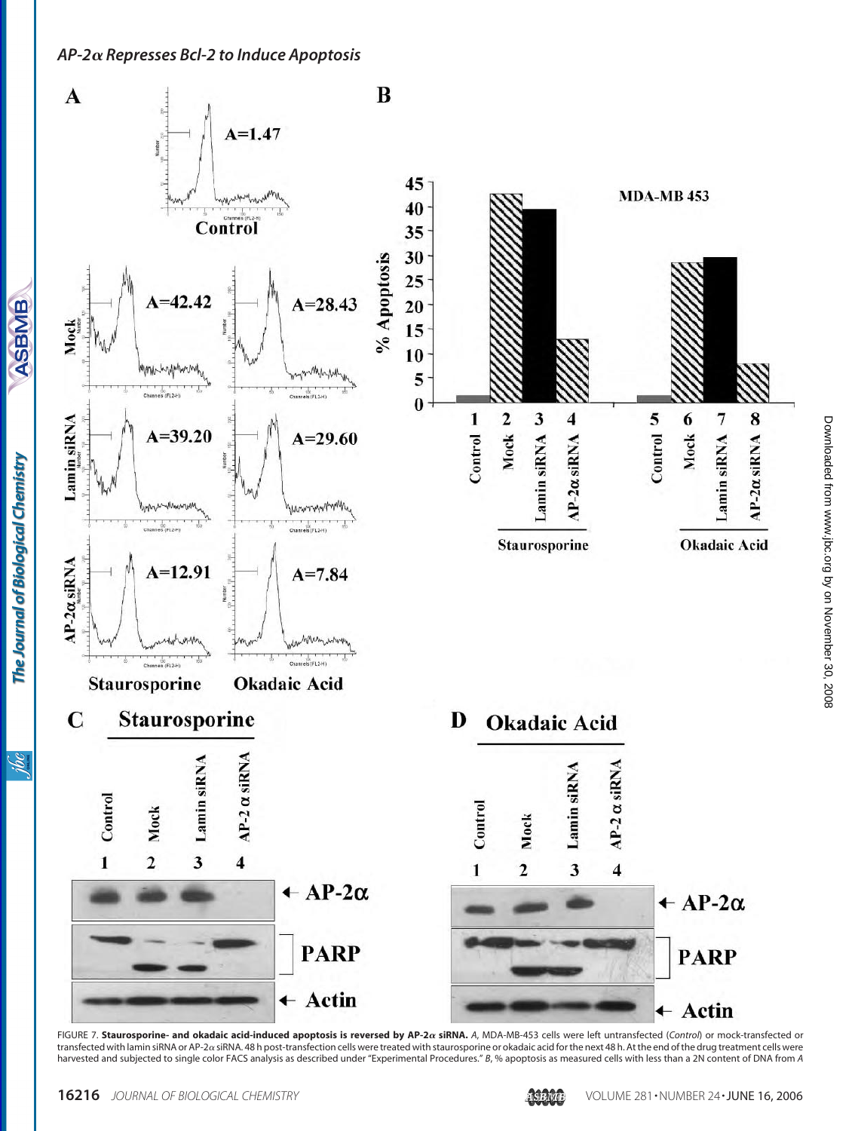**ASBMB** 

The Journal of Biological Chemistry

ibc



FIGURE 7. Staurosporine- and okadaic acid-induced apoptosis is reversed by AP-2 $\alpha$  siRNA. A, MDA-MB-453 cells were left untransfected (Control) or mock-transfected or transfected with lamin siRNA or AP-2a siRNA. 48 h post-transfection cells were treated with staurosporine or okadaic acid for the next 48 h. At the end of the drug treatment cells were harvested and subjected to single color FACS analysis as described under "Experimental Procedures." *B*, % apoptosis as measured cells with less than a 2N content of DNA from *A*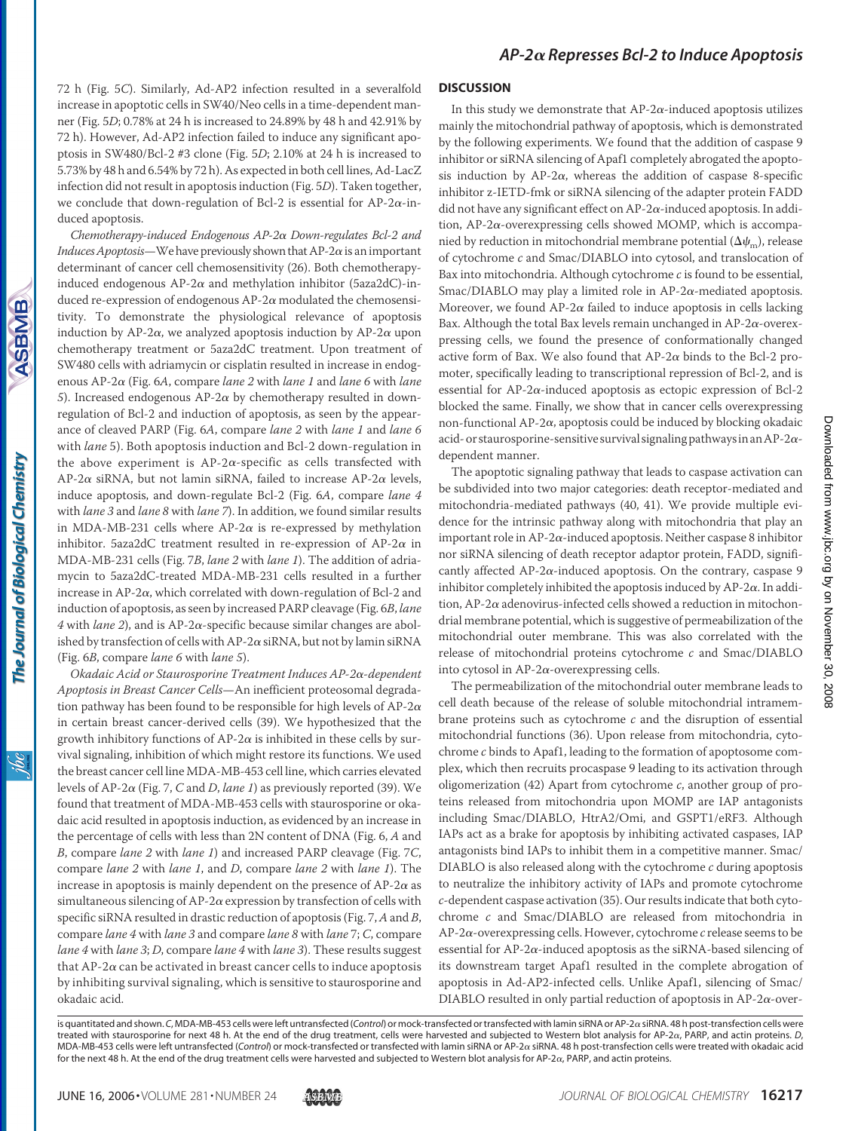72 h (Fig. 5*C*). Similarly, Ad-AP2 infection resulted in a severalfold increase in apoptotic cells in SW40/Neo cells in a time-dependent manner (Fig. 5*D*; 0.78% at 24 h is increased to 24.89% by 48 h and 42.91% by 72 h). However, Ad-AP2 infection failed to induce any significant apoptosis in SW480/Bcl-2 #3 clone (Fig. 5*D*; 2.10% at 24 h is increased to 5.73% by 48 h and 6.54% by 72 h). As expected in both cell lines, Ad-LacZ infection did not result in apoptosis induction (Fig. 5*D*). Taken together, we conclude that down-regulation of Bcl-2 is essential for AP-2 $\alpha$ -induced apoptosis.

*Chemotherapy-induced Endogenous AP-2 Down-regulates Bcl-2 and Induces Apoptosis*—We have previously shown that  $AP-2\alpha$  is an important determinant of cancer cell chemosensitivity (26). Both chemotherapyinduced endogenous AP-2 $\alpha$  and methylation inhibitor (5aza2dC)-induced re-expression of endogenous  $AP-2\alpha$  modulated the chemosensitivity. To demonstrate the physiological relevance of apoptosis induction by AP-2 $\alpha$ , we analyzed apoptosis induction by AP-2 $\alpha$  upon chemotherapy treatment or 5aza2dC treatment. Upon treatment of SW480 cells with adriamycin or cisplatin resulted in increase in endogenous AP-2 (Fig. 6*A*, compare *lane 2* with *lane 1* and *lane 6* with *lane*  $5$ ). Increased endogenous AP-2 $\alpha$  by chemotherapy resulted in downregulation of Bcl-2 and induction of apoptosis, as seen by the appearance of cleaved PARP (Fig. 6*A*, compare *lane 2* with *lane 1* and *lane 6* with *lane* 5). Both apoptosis induction and Bcl-2 down-regulation in the above experiment is  $AP-2\alpha$ -specific as cells transfected with AP-2 $\alpha$  siRNA, but not lamin siRNA, failed to increase AP-2 $\alpha$  levels, induce apoptosis, and down-regulate Bcl-2 (Fig. 6*A*, compare *lane 4* with *lane 3* and *lane 8* with *lane 7*). In addition, we found similar results in MDA-MB-231 cells where AP-2 $\alpha$  is re-expressed by methylation inhibitor. 5aza2dC treatment resulted in re-expression of AP-2 $\alpha$  in MDA-MB-231 cells (Fig. 7*B*, *lane 2* with *lane 1*). The addition of adriamycin to 5aza2dC-treated MDA-MB-231 cells resulted in a further increase in AP-2 $\alpha$ , which correlated with down-regulation of Bcl-2 and induction of apoptosis, as seen by increased PARP cleavage (Fig. 6*B*, *lane*  $4$  with *lane* 2), and is AP-2 $\alpha$ -specific because similar changes are abolished by transfection of cells with AP-2 $\alpha$  siRNA, but not by lamin siRNA (Fig. 6*B*, compare *lane 6* with *lane 5*).

*Okadaic Acid or Staurosporine Treatment Induces AP-2-dependent Apoptosis in Breast Cancer Cells*—An inefficient proteosomal degradation pathway has been found to be responsible for high levels of AP-2 $\alpha$ in certain breast cancer-derived cells (39). We hypothesized that the growth inhibitory functions of AP-2 $\alpha$  is inhibited in these cells by survival signaling, inhibition of which might restore its functions. We used the breast cancer cell line MDA-MB-453 cell line, which carries elevated levels of AP-2 $\alpha$  (Fig. 7, *C* and *D*, *lane 1*) as previously reported (39). We found that treatment of MDA-MB-453 cells with staurosporine or okadaic acid resulted in apoptosis induction, as evidenced by an increase in the percentage of cells with less than 2N content of DNA (Fig. 6, *A* and *B*, compare *lane 2* with *lane 1*) and increased PARP cleavage (Fig. 7*C*, compare *lane 2* with *lane 1*, and *D*, compare *lane 2* with *lane 1*). The increase in apoptosis is mainly dependent on the presence of  $AP-2\alpha$  as simultaneous silencing of AP-2 $\alpha$  expression by transfection of cells with specific siRNA resulted in drastic reduction of apoptosis (Fig. 7,*A*and *B*, compare *lane 4* with *lane 3* and compare *lane 8* with *lane* 7; *C*, compare *lane 4* with *lane 3*; *D*, compare *lane 4* with *lane 3*). These results suggest that  $AP-2\alpha$  can be activated in breast cancer cells to induce apoptosis by inhibiting survival signaling, which is sensitive to staurosporine and okadaic acid.

#### **DISCUSSION**

In this study we demonstrate that  $AP-2\alpha$ -induced apoptosis utilizes mainly the mitochondrial pathway of apoptosis, which is demonstrated by the following experiments. We found that the addition of caspase 9 inhibitor or siRNA silencing of Apaf1 completely abrogated the apoptosis induction by AP-2 $\alpha$ , whereas the addition of caspase 8-specific inhibitor z-IETD-fmk or siRNA silencing of the adapter protein FADD did not have any significant effect on AP-2 $\alpha$ -induced apoptosis. In addition, AP-2 $\alpha$ -overexpressing cells showed MOMP, which is accompanied by reduction in mitochondrial membrane potential  $(\Delta \psi_m)$ , release of cytochrome *c* and Smac/DIABLO into cytosol, and translocation of Bax into mitochondria. Although cytochrome *c* is found to be essential, Smac/DIABLO may play a limited role in  $AP-2\alpha$ -mediated apoptosis. Moreover, we found AP-2 $\alpha$  failed to induce apoptosis in cells lacking Bax. Although the total Bax levels remain unchanged in AP-2 $\alpha$ -overexpressing cells, we found the presence of conformationally changed active form of Bax. We also found that  $AP-2\alpha$  binds to the Bcl-2 promoter, specifically leading to transcriptional repression of Bcl-2, and is essential for AP-2 $\alpha$ -induced apoptosis as ectopic expression of Bcl-2 blocked the same. Finally, we show that in cancer cells overexpressing non-functional AP-2 $\alpha$ , apoptosis could be induced by blocking okadaic acid- or staurosporine-sensitive survival signaling pathways in an AP-2 $\alpha$ dependent manner.

The apoptotic signaling pathway that leads to caspase activation can be subdivided into two major categories: death receptor-mediated and mitochondria-mediated pathways (40, 41). We provide multiple evidence for the intrinsic pathway along with mitochondria that play an important role in AP-2 $\alpha$ -induced apoptosis. Neither caspase 8 inhibitor nor siRNA silencing of death receptor adaptor protein, FADD, significantly affected AP-2 $\alpha$ -induced apoptosis. On the contrary, caspase 9 inhibitor completely inhibited the apoptosis induced by  $AP-2\alpha$ . In addition, AP-2 $\alpha$  adenovirus-infected cells showed a reduction in mitochondrial membrane potential, which is suggestive of permeabilization of the mitochondrial outer membrane. This was also correlated with the release of mitochondrial proteins cytochrome *c* and Smac/DIABLO into cytosol in AP-2 $\alpha$ -overexpressing cells.

The permeabilization of the mitochondrial outer membrane leads to cell death because of the release of soluble mitochondrial intramembrane proteins such as cytochrome *c* and the disruption of essential mitochondrial functions (36). Upon release from mitochondria, cytochrome *c* binds to Apaf1, leading to the formation of apoptosome complex, which then recruits procaspase 9 leading to its activation through oligomerization (42) Apart from cytochrome *c*, another group of proteins released from mitochondria upon MOMP are IAP antagonists including Smac/DIABLO, HtrA2/Omi, and GSPT1/eRF3. Although IAPs act as a brake for apoptosis by inhibiting activated caspases, IAP antagonists bind IAPs to inhibit them in a competitive manner. Smac/ DIABLO is also released along with the cytochrome *c* during apoptosis to neutralize the inhibitory activity of IAPs and promote cytochrome *c*-dependent caspase activation (35). Our results indicate that both cytochrome *c* and Smac/DIABLO are released from mitochondria in  $AP-2\alpha$ -overexpressing cells. However, cytochrome  $c$  release seems to be essential for AP-2 $\alpha$ -induced apoptosis as the siRNA-based silencing of its downstream target Apaf1 resulted in the complete abrogation of apoptosis in Ad-AP2-infected cells. Unlike Apaf1, silencing of Smac/ DIABLO resulted in only partial reduction of apoptosis in AP-2 $\alpha$ -over-

is quantitated and shown. C, MDA-MB-453 cells were left untransfected (Control) or mock-transfected or transfected with lamin siRNA or AP-2a siRNA. 48 h post-transfection cells were treated with staurosporine for next 48 h. At the end of the drug treatment, cells were harvested and subjected to Western blot analysis for AP-2a, PARP, and actin proteins. D, MDA-MB-453 cells were left untransfected (Control) or mock-transfected or transfected with lamin siRNA or AP-2 a siRNA. 48 h post-transfection cells were treated with okadaic acid for the next 48 h. At the end of the drug treatment cells were harvested and subjected to Western blot analysis for AP-2 $\alpha$ , PARP, and actin proteins.

The Journal of Biological Chemistry

**ASBMB**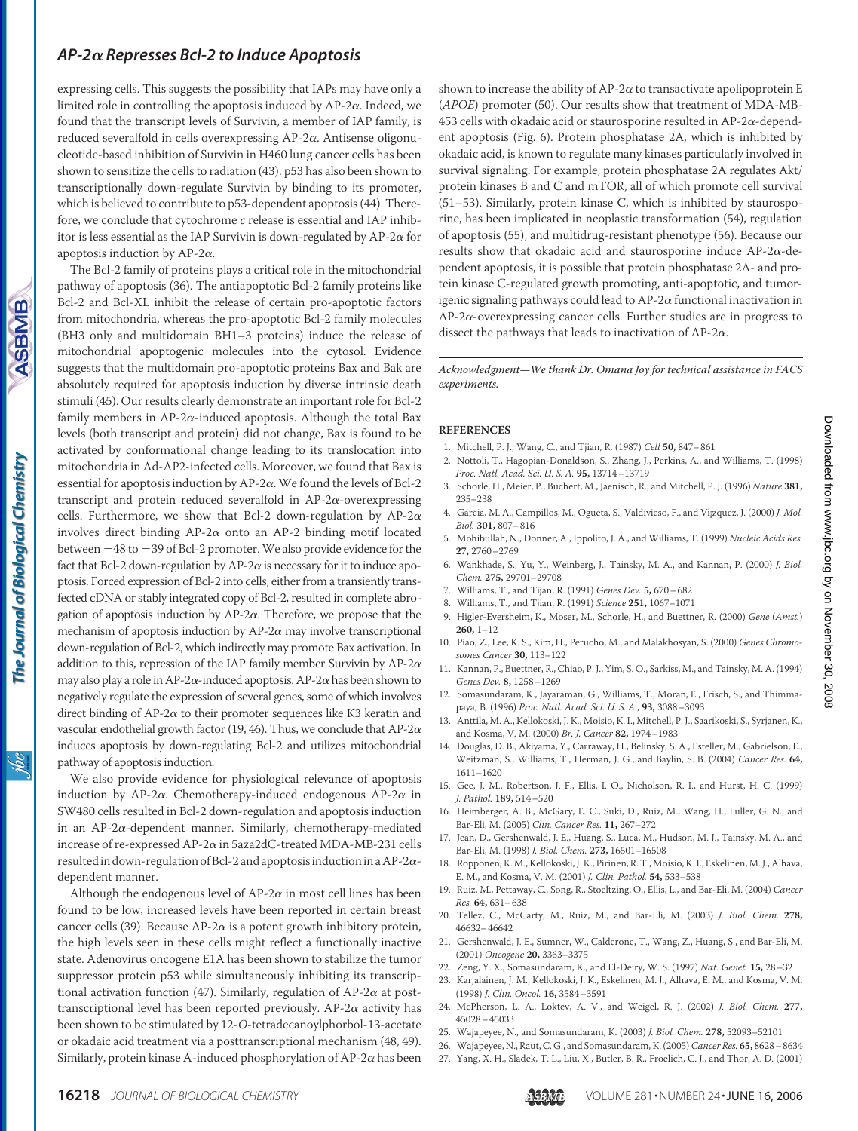<u>ж</u>

expressing cells. This suggests the possibility that IAPs may have only a limited role in controlling the apoptosis induced by  $AP-2\alpha$ . Indeed, we found that the transcript levels of Survivin, a member of IAP family, is reduced severalfold in cells overexpressing  $AP-2\alpha$ . Antisense oligonucleotide-based inhibition of Survivin in H460 lung cancer cells has been shown to sensitize the cells to radiation (43). p53 has also been shown to transcriptionally down-regulate Survivin by binding to its promoter, which is believed to contribute to p53-dependent apoptosis (44). Therefore, we conclude that cytochrome *c* release is essential and IAP inhibitor is less essential as the IAP Survivin is down-regulated by AP-2 $\alpha$  for apoptosis induction by  $AP-2\alpha$ .

The Bcl-2 family of proteins plays a critical role in the mitochondrial pathway of apoptosis (36). The antiapoptotic Bcl-2 family proteins like Bcl-2 and Bcl-XL inhibit the release of certain pro-apoptotic factors from mitochondria, whereas the pro-apoptotic Bcl-2 family molecules (BH3 only and multidomain BH1–3 proteins) induce the release of mitochondrial apoptogenic molecules into the cytosol. Evidence suggests that the multidomain pro-apoptotic proteins Bax and Bak are absolutely required for apoptosis induction by diverse intrinsic death stimuli (45). Our results clearly demonstrate an important role for Bcl-2 family members in AP-2 $\alpha$ -induced apoptosis. Although the total Bax levels (both transcript and protein) did not change, Bax is found to be activated by conformational change leading to its translocation into mitochondria in Ad-AP2-infected cells. Moreover, we found that Bax is essential for apoptosis induction by AP-2 $\alpha$ . We found the levels of Bcl-2 transcript and protein reduced severalfold in  $AP-2\alpha$ -overexpressing cells. Furthermore, we show that Bcl-2 down-regulation by AP-2 $\alpha$ involves direct binding  $AP-2\alpha$  onto an AP-2 binding motif located between  $-48$  to  $-39$  of Bcl-2 promoter. We also provide evidence for the fact that Bcl-2 down-regulation by AP-2 $\alpha$  is necessary for it to induce apoptosis. Forced expression of Bcl-2 into cells, either from a transiently transfected cDNA or stably integrated copy of Bcl-2, resulted in complete abrogation of apoptosis induction by  $AP-2\alpha$ . Therefore, we propose that the mechanism of apoptosis induction by  $AP-2\alpha$  may involve transcriptional down-regulation of Bcl-2, which indirectly may promote Bax activation. In addition to this, repression of the IAP family member Survivin by AP-2 $\alpha$ may also play a role in AP-2 $\alpha$ -induced apoptosis. AP-2 $\alpha$  has been shown to negatively regulate the expression of several genes, some of which involves direct binding of AP-2 $\alpha$  to their promoter sequences like K3 keratin and vascular endothelial growth factor (19, 46). Thus, we conclude that AP-2 $\alpha$ induces apoptosis by down-regulating Bcl-2 and utilizes mitochondrial pathway of apoptosis induction.

We also provide evidence for physiological relevance of apoptosis induction by AP-2 $\alpha$ . Chemotherapy-induced endogenous AP-2 $\alpha$  in SW480 cells resulted in Bcl-2 down-regulation and apoptosis induction in an AP-2 $\alpha$ -dependent manner. Similarly, chemotherapy-mediated increase of re-expressed AP-2 $\alpha$  in 5aza2dC-treated MDA-MB-231 cells resulted in down-regulation of Bcl-2 and apoptosis induction in a AP-2 $\alpha$ dependent manner.

Although the endogenous level of  $AP-2\alpha$  in most cell lines has been found to be low, increased levels have been reported in certain breast cancer cells (39). Because AP-2 $\alpha$  is a potent growth inhibitory protein, the high levels seen in these cells might reflect a functionally inactive state. Adenovirus oncogene E1A has been shown to stabilize the tumor suppressor protein p53 while simultaneously inhibiting its transcriptional activation function (47). Similarly, regulation of AP-2 $\alpha$  at posttranscriptional level has been reported previously.  $AP-2\alpha$  activity has been shown to be stimulated by 12-*O*-tetradecanoylphorbol-13-acetate or okadaic acid treatment via a posttranscriptional mechanism (48, 49). Similarly, protein kinase A-induced phosphorylation of AP-2 $\alpha$  has been

shown to increase the ability of  $AP-2\alpha$  to transactivate apolipoprotein E (*APOE*) promoter (50). Our results show that treatment of MDA-MB-453 cells with okadaic acid or staurosporine resulted in AP-2 $\alpha$ -dependent apoptosis (Fig. 6). Protein phosphatase 2A, which is inhibited by okadaic acid, is known to regulate many kinases particularly involved in survival signaling. For example, protein phosphatase 2A regulates Akt/ protein kinases B and C and mTOR, all of which promote cell survival (51–53). Similarly, protein kinase C, which is inhibited by staurosporine, has been implicated in neoplastic transformation (54), regulation of apoptosis (55), and multidrug-resistant phenotype (56). Because our results show that okadaic acid and staurosporine induce  $AP-2\alpha$ -dependent apoptosis, it is possible that protein phosphatase 2A- and protein kinase C-regulated growth promoting, anti-apoptotic, and tumorigenic signaling pathways could lead to  $AP-2\alpha$  functional inactivation in  $AP-2\alpha$ -overexpressing cancer cells. Further studies are in progress to dissect the pathways that leads to inactivation of AP-2 $\alpha$ .

*Acknowledgment—We thank Dr. Omana Joy for technical assistance in FACS experiments.*

#### **REFERENCES**

- 1. Mitchell, P. J., Wang, C., and Tjian, R. (1987) *Cell* **50,** 847–861
- 2. Nottoli, T., Hagopian-Donaldson, S., Zhang, J., Perkins, A., and Williams, T. (1998) *Proc. Natl. Acad. Sci. U. S. A.* **95,** 13714–13719
- 3. Schorle, H., Meier, P., Buchert, M., Jaenisch, R., and Mitchell, P. J. (1996) *Nature* **381,** 235–238 4. Garcia, M. A., Campillos, M., Ogueta, S., Valdivieso, F., and Vi¡zquez, J. (2000) *J. Mol.*
- *Biol.* **301,** 807–816
- 5. Mohibullah, N., Donner, A., Ippolito, J. A., and Williams, T. (1999) *Nucleic Acids Res.* **27,** 2760–2769
- 6. Wankhade, S., Yu, Y., Weinberg, J., Tainsky, M. A., and Kannan, P. (2000) *J. Biol. Chem.* **275,** 29701–29708
- 7. Williams, T., and Tijan, R. (1991) *Genes Dev.* **5,** 670–682
- 8. Williams, T., and Tjian, R. (1991) *Science* **251,** 1067–1071
- 9. Higler-Eversheim, K., Moser, M., Schorle, H., and Buettner, R. (2000) *Gene* (*Amst.*) **260,** 1–12
- 10. Piao, Z., Lee, K. S., Kim, H., Perucho, M., and Malakhosyan, S. (2000) *Genes Chromosomes Cancer* **30,** 113–122
- 11. Kannan, P., Buettner, R., Chiao, P. J., Yim, S. O., Sarkiss, M., and Tainsky, M. A. (1994) *Genes Dev.* **8,** 1258–1269
- 12. Somasundaram, K., Jayaraman, G., Williams, T., Moran, E., Frisch, S., and Thimmapaya, B. (1996) *Proc. Natl. Acad. Sci. U. S. A.*, **93,** 3088–3093
- 13. Anttila, M. A., Kellokoski, J. K., Moisio, K. I., Mitchell, P. J., Saarikoski, S., Syrjanen, K., and Kosma, V. M. (2000) *Br. J. Cancer* **82,** 1974–1983
- 14. Douglas, D. B., Akiyama, Y., Carraway, H., Belinsky, S. A., Esteller, M., Gabrielson, E., Weitzman, S., Williams, T., Herman, J. G., and Baylin, S. B. (2004) *Cancer Res.* **64,** 1611–1620
- 15. Gee, J. M., Robertson, J. F., Ellis, I. O., Nicholson, R. I., and Hurst, H. C. (1999) *J. Pathol.* **189,** 514–520
- 16. Heimberger, A. B., McGary, E. C., Suki, D., Ruiz, M., Wang, H., Fuller, G. N., and Bar-Eli, M. (2005) *Clin. Cancer Res.* **11,** 267–272
- 17. Jean, D., Gershenwald, J. E., Huang, S., Luca, M., Hudson, M. J., Tainsky, M. A., and Bar-Eli, M. (1998) *J. Biol. Chem.* **273,** 16501–16508
- 18. Ropponen, K. M., Kellokoski, J. K., Pirinen, R. T., Moisio, K. I., Eskelinen, M. J., Alhava, E. M., and Kosma, V. M. (2001) *J. Clin. Pathol.* **54,** 533–538
- 19. Ruiz, M., Pettaway, C., Song, R., Stoeltzing, O., Ellis, L., and Bar-Eli, M. (2004) *Cancer Res.* **64,** 631–638
- 20. Tellez, C., McCarty, M., Ruiz, M., and Bar-Eli, M. (2003) *J. Biol. Chem.* **278,** 46632–46642
- 21. Gershenwald, J. E., Sumner, W., Calderone, T., Wang, Z., Huang, S., and Bar-Eli, M. (2001) *Oncogene* **20,** 3363–3375
- 22. Zeng, Y. X., Somasundaram, K., and El-Deiry, W. S. (1997) *Nat. Genet.* **15,** 28–32
- 23. Karjalainen, J. M., Kellokoski, J. K., Eskelinen, M. J., Alhava, E. M., and Kosma, V. M. (1998) *J. Clin. Oncol.* **16,** 3584–3591
- 24. McPherson, L. A., Loktev, A. V., and Weigel, R. J. (2002) *J. Biol. Chem.* **277,** 45028–45033
- 25. Wajapeyee, N., and Somasundaram, K. (2003) *J. Biol. Chem.* **278,** 52093–52101
- 26. Wajapeyee, N., Raut, C. G., and Somasundaram, K. (2005)*Cancer Res.* **65,** 8628–8634
- 27. Yang, X. H., Sladek, T. L., Liu, X., Butler, B. R., Froelich, C. J., and Thor, A. D. (2001)